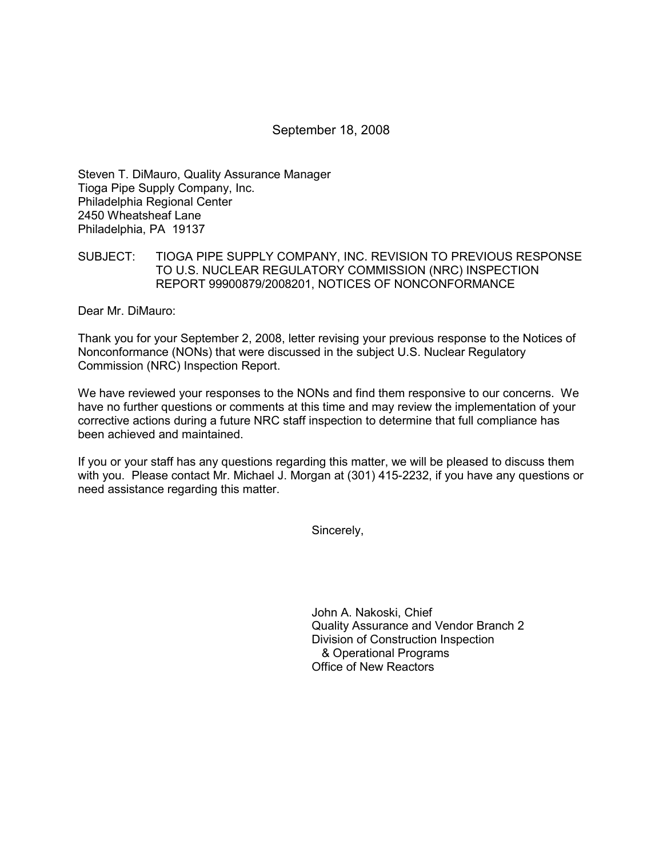## September 18, 2008

Steven T. DiMauro, Quality Assurance Manager Tioga Pipe Supply Company, Inc. Philadelphia Regional Center 2450 Wheatsheaf Lane Philadelphia, PA 19137

### SUBJECT: TIOGA PIPE SUPPLY COMPANY, INC. REVISION TO PREVIOUS RESPONSE TO U.S. NUCLEAR REGULATORY COMMISSION (NRC) INSPECTION REPORT 99900879/2008201, NOTICES OF NONCONFORMANCE

Dear Mr. DiMauro:

Thank you for your September 2, 2008, letter revising your previous response to the Notices of Nonconformance (NONs) that were discussed in the subject U.S. Nuclear Regulatory Commission (NRC) Inspection Report.

We have reviewed your responses to the NONs and find them responsive to our concerns. We have no further questions or comments at this time and may review the implementation of your corrective actions during a future NRC staff inspection to determine that full compliance has been achieved and maintained.

If you or your staff has any questions regarding this matter, we will be pleased to discuss them with you. Please contact Mr. Michael J. Morgan at (301) 415-2232, if you have any questions or need assistance regarding this matter.

Sincerely,

John A. Nakoski, Chief Quality Assurance and Vendor Branch 2 Division of Construction Inspection & Operational Programs Office of New Reactors